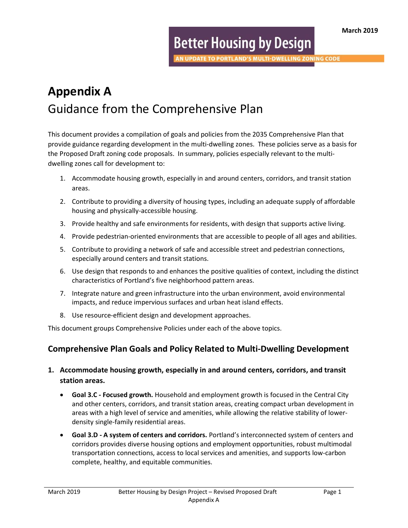# **Better Housing by Design**

**N UPDATE TO PORTLAND'S MULTI-DWELLING ZONING CODE** 

# Appendix A Guidance from the Comprehensive Plan

This document provides a compilation of goals and policies from the 2035 Comprehensive Plan that provide guidance regarding development in the multi-dwelling zones. These policies serve as a basis for the Proposed Draft zoning code proposals. In summary, policies especially relevant to the multidwelling zones call for development to:

- 1. Accommodate housing growth, especially in and around centers, corridors, and transit station areas.
- 2. Contribute to providing a diversity of housing types, including an adequate supply of affordable housing and physically-accessible housing.
- 3. Provide healthy and safe environments for residents, with design that supports active living.
- 4. Provide pedestrian-oriented environments that are accessible to people of all ages and abilities.
- 5. Contribute to providing a network of safe and accessible street and pedestrian connections, especially around centers and transit stations.
- 6. Use design that responds to and enhances the positive qualities of context, including the distinct characteristics of Portland's five neighborhood pattern areas.
- 7. Integrate nature and green infrastructure into the urban environment, avoid environmental impacts, and reduce impervious surfaces and urban heat island effects.
- 8. Use resource-efficient design and development approaches.

This document groups Comprehensive Policies under each of the above topics.

# Comprehensive Plan Goals and Policy Related to Multi-Dwelling Development

- 1. Accommodate housing growth, especially in and around centers, corridors, and transit station areas.
	- **Goal 3.C Focused growth.** Household and employment growth is focused in the Central City and other centers, corridors, and transit station areas, creating compact urban development in areas with a high level of service and amenities, while allowing the relative stability of lowerdensity single-family residential areas.
	- Goal 3.D A system of centers and corridors. Portland's interconnected system of centers and corridors provides diverse housing options and employment opportunities, robust multimodal transportation connections, access to local services and amenities, and supports low-carbon complete, healthy, and equitable communities.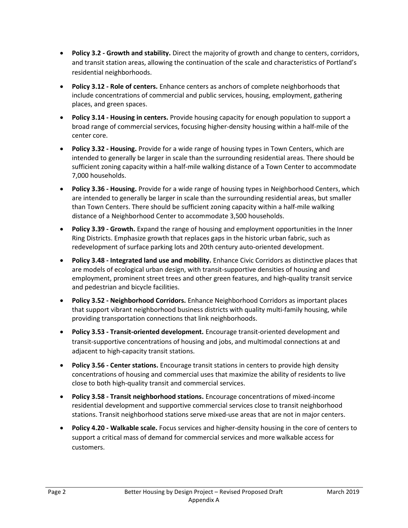- Policy 3.2 Growth and stability. Direct the majority of growth and change to centers, corridors, and transit station areas, allowing the continuation of the scale and characteristics of Portland's residential neighborhoods.
- Policy 3.12 Role of centers. Enhance centers as anchors of complete neighborhoods that include concentrations of commercial and public services, housing, employment, gathering places, and green spaces.
- Policy 3.14 Housing in centers. Provide housing capacity for enough population to support a broad range of commercial services, focusing higher-density housing within a half-mile of the center core.
- Policy 3.32 Housing. Provide for a wide range of housing types in Town Centers, which are intended to generally be larger in scale than the surrounding residential areas. There should be sufficient zoning capacity within a half-mile walking distance of a Town Center to accommodate 7,000 households.
- Policy 3.36 Housing. Provide for a wide range of housing types in Neighborhood Centers, which are intended to generally be larger in scale than the surrounding residential areas, but smaller than Town Centers. There should be sufficient zoning capacity within a half-mile walking distance of a Neighborhood Center to accommodate 3,500 households.
- Policy 3.39 Growth. Expand the range of housing and employment opportunities in the Inner Ring Districts. Emphasize growth that replaces gaps in the historic urban fabric, such as redevelopment of surface parking lots and 20th century auto-oriented development.
- Policy 3.48 Integrated land use and mobility. Enhance Civic Corridors as distinctive places that are models of ecological urban design, with transit-supportive densities of housing and employment, prominent street trees and other green features, and high-quality transit service and pedestrian and bicycle facilities.
- Policy 3.52 Neighborhood Corridors. Enhance Neighborhood Corridors as important places that support vibrant neighborhood business districts with quality multi-family housing, while providing transportation connections that link neighborhoods.
- Policy 3.53 Transit-oriented development. Encourage transit-oriented development and transit-supportive concentrations of housing and jobs, and multimodal connections at and adjacent to high-capacity transit stations.
- Policy 3.56 Center stations. Encourage transit stations in centers to provide high density concentrations of housing and commercial uses that maximize the ability of residents to live close to both high-quality transit and commercial services.
- Policy 3.58 Transit neighborhood stations. Encourage concentrations of mixed-income residential development and supportive commercial services close to transit neighborhood stations. Transit neighborhood stations serve mixed-use areas that are not in major centers.
- Policy 4.20 Walkable scale. Focus services and higher-density housing in the core of centers to support a critical mass of demand for commercial services and more walkable access for customers.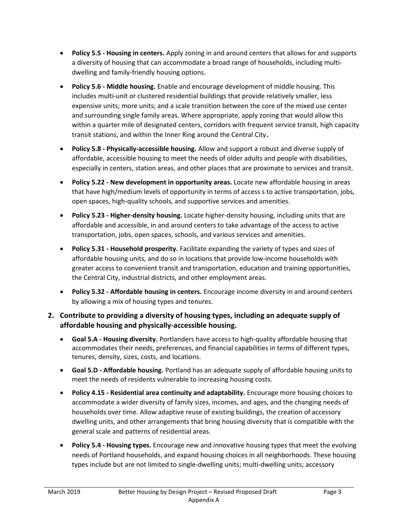- Policy 5.5 Housing in centers. Apply zoning in and around centers that allows for and supports a diversity of housing that can accommodate a broad range of households, including multidwelling and family-friendly housing options.
- Policy 5.6 Middle housing. Enable and encourage development of middle housing. This includes multi-unit or clustered residential buildings that provide relatively smaller, less expensive units; more units; and a scale transition between the core of the mixed use center and surrounding single family areas. Where appropriate, apply zoning that would allow this within a quarter mile of designated centers, corridors with frequent service transit, high capacity transit stations, and within the Inner Ring around the Central City.
- Policy 5.8 Physically-accessible housing. Allow and support a robust and diverse supply of affordable, accessible housing to meet the needs of older adults and people with disabilities, especially in centers, station areas, and other places that are proximate to services and transit.
- Policy 5.22 New development in opportunity areas. Locate new affordable housing in areas that have high/medium levels of opportunity in terms of access s to active transportation, jobs, open spaces, high-quality schools, and supportive services and amenities.
- Policy 5.23 Higher-density housing. Locate higher-density housing, including units that are affordable and accessible, in and around centers to take advantage of the access to active transportation, jobs, open spaces, schools, and various services and amenities.
- Policy 5.31 Household prosperity. Facilitate expanding the variety of types and sizes of affordable housing units, and do so in locations that provide low-income households with greater access to convenient transit and transportation, education and training opportunities, the Central City, industrial districts, and other employment areas.
- Policy 5.32 Affordable housing in centers. Encourage income diversity in and around centers by allowing a mix of housing types and tenures.

## 2. Contribute to providing a diversity of housing types, including an adequate supply of affordable housing and physically-accessible housing.

- Goal 5.A Housing diversity. Portlanders have access to high-quality affordable housing that accommodates their needs, preferences, and financial capabilities in terms of different types, tenures, density, sizes, costs, and locations.
- Goal 5.D Affordable housing. Portland has an adequate supply of affordable housing units to meet the needs of residents vulnerable to increasing housing costs.
- Policy 4.15 Residential area continuity and adaptability. Encourage more housing choices to accommodate a wider diversity of family sizes, incomes, and ages, and the changing needs of households over time. Allow adaptive reuse of existing buildings, the creation of accessory dwelling units, and other arrangements that bring housing diversity that is compatible with the general scale and patterns of residential areas.
- Policy 5.4 Housing types. Encourage new and innovative housing types that meet the evolving needs of Portland households, and expand housing choices in all neighborhoods. These housing types include but are not limited to single-dwelling units; multi-dwelling units; accessory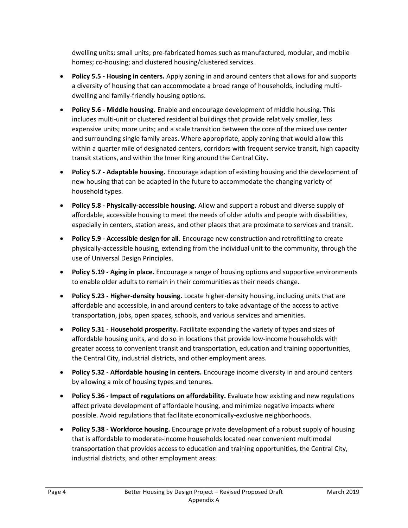dwelling units; small units; pre-fabricated homes such as manufactured, modular, and mobile homes; co-housing; and clustered housing/clustered services.

- Policy 5.5 Housing in centers. Apply zoning in and around centers that allows for and supports a diversity of housing that can accommodate a broad range of households, including multidwelling and family-friendly housing options.
- Policy 5.6 Middle housing. Enable and encourage development of middle housing. This includes multi-unit or clustered residential buildings that provide relatively smaller, less expensive units; more units; and a scale transition between the core of the mixed use center and surrounding single family areas. Where appropriate, apply zoning that would allow this within a quarter mile of designated centers, corridors with frequent service transit, high capacity transit stations, and within the Inner Ring around the Central City.
- Policy 5.7 Adaptable housing. Encourage adaption of existing housing and the development of new housing that can be adapted in the future to accommodate the changing variety of household types.
- Policy 5.8 Physically-accessible housing. Allow and support a robust and diverse supply of affordable, accessible housing to meet the needs of older adults and people with disabilities, especially in centers, station areas, and other places that are proximate to services and transit.
- Policy 5.9 Accessible design for all. Encourage new construction and retrofitting to create physically-accessible housing, extending from the individual unit to the community, through the use of Universal Design Principles.
- Policy 5.19 Aging in place. Encourage a range of housing options and supportive environments to enable older adults to remain in their communities as their needs change.
- Policy 5.23 Higher-density housing. Locate higher-density housing, including units that are affordable and accessible, in and around centers to take advantage of the access to active transportation, jobs, open spaces, schools, and various services and amenities.
- Policy 5.31 Household prosperity. Facilitate expanding the variety of types and sizes of affordable housing units, and do so in locations that provide low-income households with greater access to convenient transit and transportation, education and training opportunities, the Central City, industrial districts, and other employment areas.
- Policy 5.32 Affordable housing in centers. Encourage income diversity in and around centers by allowing a mix of housing types and tenures.
- Policy 5.36 Impact of regulations on affordability. Evaluate how existing and new regulations affect private development of affordable housing, and minimize negative impacts where possible. Avoid regulations that facilitate economically-exclusive neighborhoods.
- Policy 5.38 Workforce housing. Encourage private development of a robust supply of housing that is affordable to moderate-income households located near convenient multimodal transportation that provides access to education and training opportunities, the Central City, industrial districts, and other employment areas.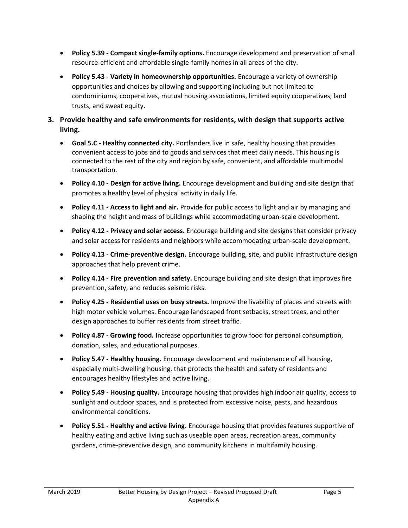- Policy 5.39 Compact single-family options. Encourage development and preservation of small resource-efficient and affordable single-family homes in all areas of the city.
- Policy 5.43 Variety in homeownership opportunities. Encourage a variety of ownership opportunities and choices by allowing and supporting including but not limited to condominiums, cooperatives, mutual housing associations, limited equity cooperatives, land trusts, and sweat equity.
- 3. Provide healthy and safe environments for residents, with design that supports active living.
	- Goal 5.C Healthy connected city. Portlanders live in safe, healthy housing that provides convenient access to jobs and to goods and services that meet daily needs. This housing is connected to the rest of the city and region by safe, convenient, and affordable multimodal transportation.
	- Policy 4.10 Design for active living. Encourage development and building and site design that promotes a healthy level of physical activity in daily life.
	- Policy 4.11 Access to light and air. Provide for public access to light and air by managing and shaping the height and mass of buildings while accommodating urban-scale development.
	- Policy 4.12 Privacy and solar access. Encourage building and site designs that consider privacy and solar access for residents and neighbors while accommodating urban-scale development.
	- Policy 4.13 Crime-preventive design. Encourage building, site, and public infrastructure design approaches that help prevent crime.
	- Policy 4.14 Fire prevention and safety. Encourage building and site design that improves fire prevention, safety, and reduces seismic risks.
	- Policy 4.25 Residential uses on busy streets. Improve the livability of places and streets with high motor vehicle volumes. Encourage landscaped front setbacks, street trees, and other design approaches to buffer residents from street traffic.
	- Policy 4.87 Growing food. Increase opportunities to grow food for personal consumption, donation, sales, and educational purposes.
	- Policy 5.47 Healthy housing. Encourage development and maintenance of all housing, especially multi-dwelling housing, that protects the health and safety of residents and encourages healthy lifestyles and active living.
	- Policy 5.49 Housing quality. Encourage housing that provides high indoor air quality, access to sunlight and outdoor spaces, and is protected from excessive noise, pests, and hazardous environmental conditions.
	- Policy 5.51 Healthy and active living. Encourage housing that provides features supportive of healthy eating and active living such as useable open areas, recreation areas, community gardens, crime-preventive design, and community kitchens in multifamily housing.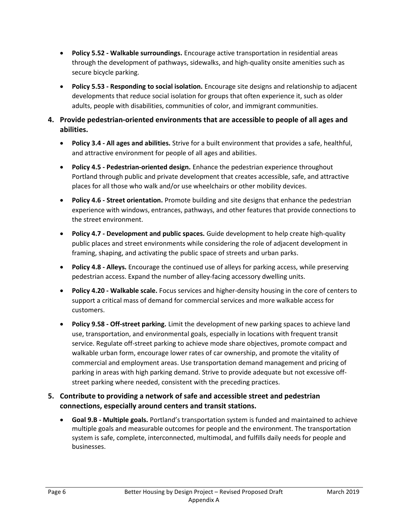- Policy 5.52 Walkable surroundings. Encourage active transportation in residential areas through the development of pathways, sidewalks, and high-quality onsite amenities such as secure bicycle parking.
- Policy 5.53 Responding to social isolation. Encourage site designs and relationship to adjacent developments that reduce social isolation for groups that often experience it, such as older adults, people with disabilities, communities of color, and immigrant communities.
- 4. Provide pedestrian-oriented environments that are accessible to people of all ages and abilities.
	- Policy 3.4 All ages and abilities. Strive for a built environment that provides a safe, healthful, and attractive environment for people of all ages and abilities.
	- Policy 4.5 Pedestrian-oriented design. Enhance the pedestrian experience throughout Portland through public and private development that creates accessible, safe, and attractive places for all those who walk and/or use wheelchairs or other mobility devices.
	- Policy 4.6 Street orientation. Promote building and site designs that enhance the pedestrian experience with windows, entrances, pathways, and other features that provide connections to the street environment.
	- Policy 4.7 Development and public spaces. Guide development to help create high-quality public places and street environments while considering the role of adjacent development in framing, shaping, and activating the public space of streets and urban parks.
	- Policy 4.8 Alleys. Encourage the continued use of alleys for parking access, while preserving pedestrian access. Expand the number of alley-facing accessory dwelling units.
	- Policy 4.20 Walkable scale. Focus services and higher-density housing in the core of centers to support a critical mass of demand for commercial services and more walkable access for customers.
	- Policy 9.58 Off-street parking. Limit the development of new parking spaces to achieve land use, transportation, and environmental goals, especially in locations with frequent transit service. Regulate off-street parking to achieve mode share objectives, promote compact and walkable urban form, encourage lower rates of car ownership, and promote the vitality of commercial and employment areas. Use transportation demand management and pricing of parking in areas with high parking demand. Strive to provide adequate but not excessive offstreet parking where needed, consistent with the preceding practices.

### 5. Contribute to providing a network of safe and accessible street and pedestrian connections, especially around centers and transit stations.

 Goal 9.B - Multiple goals. Portland's transportation system is funded and maintained to achieve multiple goals and measurable outcomes for people and the environment. The transportation system is safe, complete, interconnected, multimodal, and fulfills daily needs for people and businesses.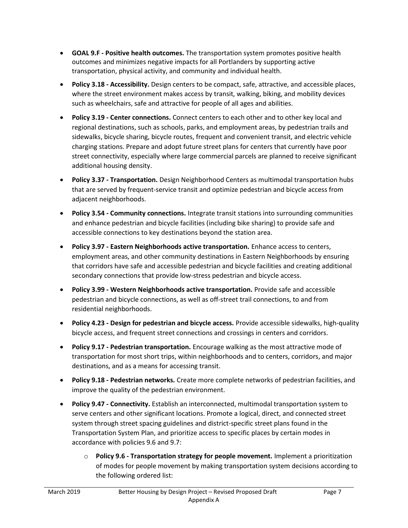- GOAL 9.F Positive health outcomes. The transportation system promotes positive health outcomes and minimizes negative impacts for all Portlanders by supporting active transportation, physical activity, and community and individual health.
- Policy 3.18 Accessibility. Design centers to be compact, safe, attractive, and accessible places, where the street environment makes access by transit, walking, biking, and mobility devices such as wheelchairs, safe and attractive for people of all ages and abilities.
- Policy 3.19 Center connections. Connect centers to each other and to other key local and regional destinations, such as schools, parks, and employment areas, by pedestrian trails and sidewalks, bicycle sharing, bicycle routes, frequent and convenient transit, and electric vehicle charging stations. Prepare and adopt future street plans for centers that currently have poor street connectivity, especially where large commercial parcels are planned to receive significant additional housing density.
- Policy 3.37 Transportation. Design Neighborhood Centers as multimodal transportation hubs that are served by frequent-service transit and optimize pedestrian and bicycle access from adjacent neighborhoods.
- Policy 3.54 Community connections. Integrate transit stations into surrounding communities and enhance pedestrian and bicycle facilities (including bike sharing) to provide safe and accessible connections to key destinations beyond the station area.
- Policy 3.97 Eastern Neighborhoods active transportation. Enhance access to centers, employment areas, and other community destinations in Eastern Neighborhoods by ensuring that corridors have safe and accessible pedestrian and bicycle facilities and creating additional secondary connections that provide low-stress pedestrian and bicycle access.
- Policy 3.99 Western Neighborhoods active transportation. Provide safe and accessible pedestrian and bicycle connections, as well as off-street trail connections, to and from residential neighborhoods.
- Policy 4.23 Design for pedestrian and bicycle access. Provide accessible sidewalks, high-quality bicycle access, and frequent street connections and crossings in centers and corridors.
- Policy 9.17 Pedestrian transportation. Encourage walking as the most attractive mode of transportation for most short trips, within neighborhoods and to centers, corridors, and major destinations, and as a means for accessing transit.
- Policy 9.18 Pedestrian networks. Create more complete networks of pedestrian facilities, and improve the quality of the pedestrian environment.
- Policy 9.47 Connectivity. Establish an interconnected, multimodal transportation system to serve centers and other significant locations. Promote a logical, direct, and connected street system through street spacing guidelines and district-specific street plans found in the Transportation System Plan, and prioritize access to specific places by certain modes in accordance with policies 9.6 and 9.7:
	- $\circ$  Policy 9.6 Transportation strategy for people movement. Implement a prioritization of modes for people movement by making transportation system decisions according to the following ordered list: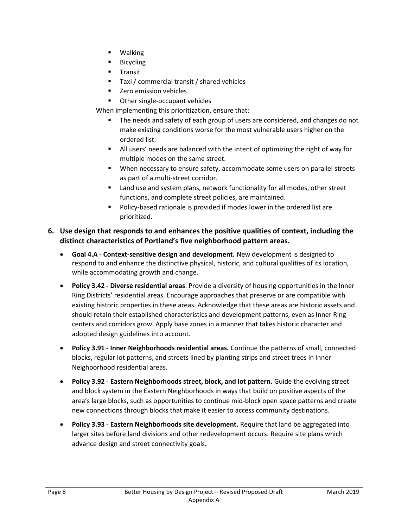- Walking
- Bicycling
- **Transit**
- Taxi / commercial transit / shared vehicles
- **EXEC** 2 Zero emission vehicles
- **•** Other single-occupant vehicles

When implementing this prioritization, ensure that:

- The needs and safety of each group of users are considered, and changes do not make existing conditions worse for the most vulnerable users higher on the ordered list.
- All users' needs are balanced with the intent of optimizing the right of way for multiple modes on the same street.
- When necessary to ensure safety, accommodate some users on parallel streets as part of a multi-street corridor.
- Land use and system plans, network functionality for all modes, other street functions, and complete street policies, are maintained.
- Policy-based rationale is provided if modes lower in the ordered list are prioritized.

#### 6. Use design that responds to and enhances the positive qualities of context, including the distinct characteristics of Portland's five neighborhood pattern areas.

- Goal 4.A Context-sensitive design and development. New development is designed to respond to and enhance the distinctive physical, historic, and cultural qualities of its location, while accommodating growth and change.
- Policy 3.42 Diverse residential areas. Provide a diversity of housing opportunities in the Inner Ring Districts' residential areas. Encourage approaches that preserve or are compatible with existing historic properties in these areas. Acknowledge that these areas are historic assets and should retain their established characteristics and development patterns, even as Inner Ring centers and corridors grow. Apply base zones in a manner that takes historic character and adopted design guidelines into account.
- Policy 3.91 Inner Neighborhoods residential areas. Continue the patterns of small, connected blocks, regular lot patterns, and streets lined by planting strips and street trees in Inner Neighborhood residential areas.
- Policy 3.92 Eastern Neighborhoods street, block, and lot pattern. Guide the evolving street and block system in the Eastern Neighborhoods in ways that build on positive aspects of the area's large blocks, such as opportunities to continue mid-block open space patterns and create new connections through blocks that make it easier to access community destinations.
- Policy 3.93 Eastern Neighborhoods site development. Require that land be aggregated into larger sites before land divisions and other redevelopment occurs. Require site plans which advance design and street connectivity goals.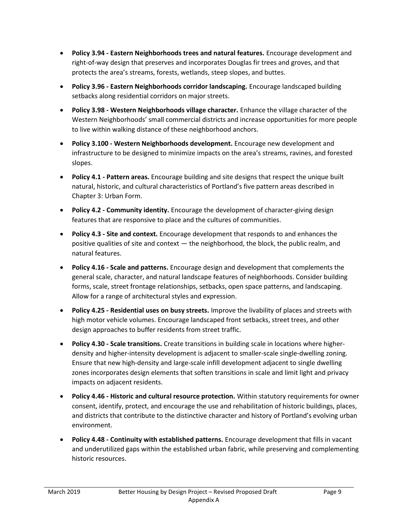- Policy 3.94 Eastern Neighborhoods trees and natural features. Encourage development and right-of-way design that preserves and incorporates Douglas fir trees and groves, and that protects the area's streams, forests, wetlands, steep slopes, and buttes.
- Policy 3.96 Eastern Neighborhoods corridor landscaping. Encourage landscaped building setbacks along residential corridors on major streets.
- Policy 3.98 Western Neighborhoods village character. Enhance the village character of the Western Neighborhoods' small commercial districts and increase opportunities for more people to live within walking distance of these neighborhood anchors.
- Policy 3.100 Western Neighborhoods development. Encourage new development and infrastructure to be designed to minimize impacts on the area's streams, ravines, and forested slopes.
- Policy 4.1 Pattern areas. Encourage building and site designs that respect the unique built natural, historic, and cultural characteristics of Portland's five pattern areas described in Chapter 3: Urban Form.
- Policy 4.2 Community identity. Encourage the development of character-giving design features that are responsive to place and the cultures of communities.
- Policy 4.3 Site and context. Encourage development that responds to and enhances the positive qualities of site and context — the neighborhood, the block, the public realm, and natural features.
- Policy 4.16 Scale and patterns. Encourage design and development that complements the general scale, character, and natural landscape features of neighborhoods. Consider building forms, scale, street frontage relationships, setbacks, open space patterns, and landscaping. Allow for a range of architectural styles and expression.
- Policy 4.25 Residential uses on busy streets. Improve the livability of places and streets with high motor vehicle volumes. Encourage landscaped front setbacks, street trees, and other design approaches to buffer residents from street traffic.
- Policy 4.30 Scale transitions. Create transitions in building scale in locations where higherdensity and higher-intensity development is adjacent to smaller-scale single-dwelling zoning. Ensure that new high-density and large-scale infill development adjacent to single dwelling zones incorporates design elements that soften transitions in scale and limit light and privacy impacts on adjacent residents.
- Policy 4.46 Historic and cultural resource protection. Within statutory requirements for owner consent, identify, protect, and encourage the use and rehabilitation of historic buildings, places, and districts that contribute to the distinctive character and history of Portland's evolving urban environment.
- Policy 4.48 Continuity with established patterns. Encourage development that fills in vacant and underutilized gaps within the established urban fabric, while preserving and complementing historic resources.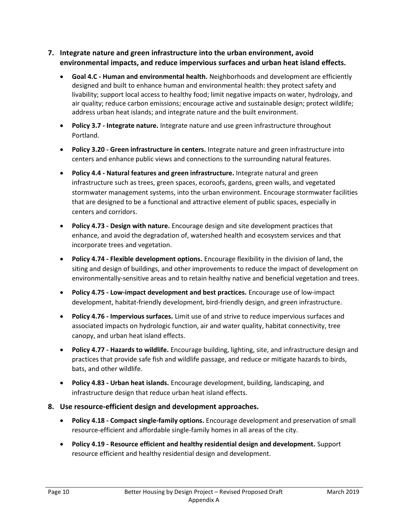#### 7. Integrate nature and green infrastructure into the urban environment, avoid environmental impacts, and reduce impervious surfaces and urban heat island effects.

- Goal 4.C Human and environmental health. Neighborhoods and development are efficiently designed and built to enhance human and environmental health: they protect safety and livability; support local access to healthy food; limit negative impacts on water, hydrology, and air quality; reduce carbon emissions; encourage active and sustainable design; protect wildlife; address urban heat islands; and integrate nature and the built environment.
- Policy 3.7 Integrate nature. Integrate nature and use green infrastructure throughout Portland.
- Policy 3.20 Green infrastructure in centers. Integrate nature and green infrastructure into centers and enhance public views and connections to the surrounding natural features.
- Policy 4.4 Natural features and green infrastructure. Integrate natural and green infrastructure such as trees, green spaces, ecoroofs, gardens, green walls, and vegetated stormwater management systems, into the urban environment. Encourage stormwater facilities that are designed to be a functional and attractive element of public spaces, especially in centers and corridors.
- Policy 4.73 Design with nature. Encourage design and site development practices that enhance, and avoid the degradation of, watershed health and ecosystem services and that incorporate trees and vegetation.
- Policy 4.74 Flexible development options. Encourage flexibility in the division of land, the siting and design of buildings, and other improvements to reduce the impact of development on environmentally-sensitive areas and to retain healthy native and beneficial vegetation and trees.
- Policy 4.75 Low-impact development and best practices. Encourage use of low-impact development, habitat-friendly development, bird-friendly design, and green infrastructure.
- Policy 4.76 Impervious surfaces. Limit use of and strive to reduce impervious surfaces and associated impacts on hydrologic function, air and water quality, habitat connectivity, tree canopy, and urban heat island effects.
- Policy 4.77 Hazards to wildlife. Encourage building, lighting, site, and infrastructure design and practices that provide safe fish and wildlife passage, and reduce or mitigate hazards to birds, bats, and other wildlife.
- Policy 4.83 Urban heat islands. Encourage development, building, landscaping, and infrastructure design that reduce urban heat island effects.
- 8. Use resource-efficient design and development approaches.
	- Policy 4.18 Compact single-family options. Encourage development and preservation of small resource-efficient and affordable single-family homes in all areas of the city.
	- Policy 4.19 Resource efficient and healthy residential design and development. Support resource efficient and healthy residential design and development.